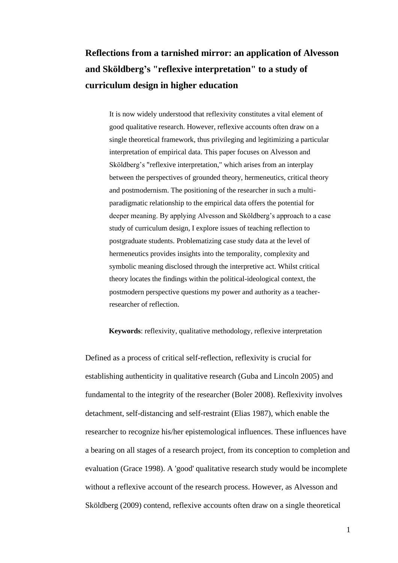# **Reflections from a tarnished mirror: an application of Alvesson and Sköldberg's "reflexive interpretation" to a study of curriculum design in higher education**

It is now widely understood that reflexivity constitutes a vital element of good qualitative research. However, reflexive accounts often draw on a single theoretical framework, thus privileging and legitimizing a particular interpretation of empirical data. This paper focuses on Alvesson and Sköldberg's "reflexive interpretation," which arises from an interplay between the perspectives of grounded theory, hermeneutics, critical theory and postmodernism. The positioning of the researcher in such a multiparadigmatic relationship to the empirical data offers the potential for deeper meaning. By applying Alvesson and Sköldberg's approach to a case study of curriculum design, I explore issues of teaching reflection to postgraduate students. Problematizing case study data at the level of hermeneutics provides insights into the temporality, complexity and symbolic meaning disclosed through the interpretive act. Whilst critical theory locates the findings within the political-ideological context, the postmodern perspective questions my power and authority as a teacherresearcher of reflection.

## **Keywords**: reflexivity, qualitative methodology, reflexive interpretation

Defined as a process of critical self-reflection, reflexivity is crucial for establishing authenticity in qualitative research (Guba and Lincoln 2005) and fundamental to the integrity of the researcher (Boler 2008). Reflexivity involves detachment, self-distancing and self-restraint (Elias 1987), which enable the researcher to recognize his/her epistemological influences. These influences have a bearing on all stages of a research project, from its conception to completion and evaluation (Grace 1998). A 'good' qualitative research study would be incomplete without a reflexive account of the research process. However, as Alvesson and Sköldberg (2009) contend, reflexive accounts often draw on a single theoretical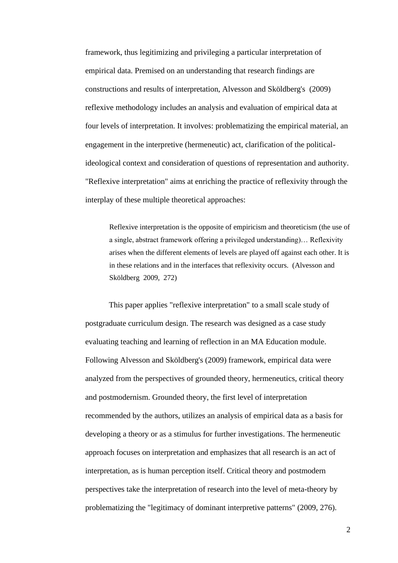framework, thus legitimizing and privileging a particular interpretation of empirical data. Premised on an understanding that research findings are constructions and results of interpretation, Alvesson and Sköldberg's (2009) reflexive methodology includes an analysis and evaluation of empirical data at four levels of interpretation. It involves: problematizing the empirical material, an engagement in the interpretive (hermeneutic) act, clarification of the politicalideological context and consideration of questions of representation and authority. "Reflexive interpretation" aims at enriching the practice of reflexivity through the interplay of these multiple theoretical approaches:

Reflexive interpretation is the opposite of empiricism and theoreticism (the use of a single, abstract framework offering a privileged understanding)… Reflexivity arises when the different elements of levels are played off against each other. It is in these relations and in the interfaces that reflexivity occurs. (Alvesson and Sköldberg 2009, 272)

This paper applies "reflexive interpretation" to a small scale study of postgraduate curriculum design. The research was designed as a case study evaluating teaching and learning of reflection in an MA Education module. Following Alvesson and Sköldberg's (2009) framework, empirical data were analyzed from the perspectives of grounded theory, hermeneutics, critical theory and postmodernism. Grounded theory, the first level of interpretation recommended by the authors, utilizes an analysis of empirical data as a basis for developing a theory or as a stimulus for further investigations. The hermeneutic approach focuses on interpretation and emphasizes that all research is an act of interpretation, as is human perception itself. Critical theory and postmodern perspectives take the interpretation of research into the level of meta-theory by problematizing the "legitimacy of dominant interpretive patterns" (2009, 276).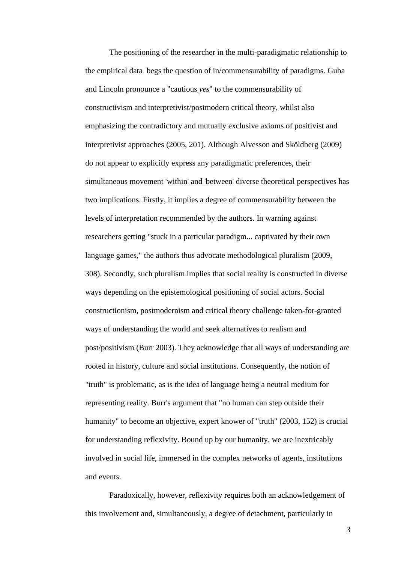The positioning of the researcher in the multi-paradigmatic relationship to the empirical data begs the question of in/commensurability of paradigms. Guba and Lincoln pronounce a "cautious *yes*" to the commensurability of constructivism and interpretivist/postmodern critical theory, whilst also emphasizing the contradictory and mutually exclusive axioms of positivist and interpretivist approaches (2005, 201). Although Alvesson and Sköldberg (2009) do not appear to explicitly express any paradigmatic preferences, their simultaneous movement 'within' and 'between' diverse theoretical perspectives has two implications. Firstly, it implies a degree of commensurability between the levels of interpretation recommended by the authors. In warning against researchers getting "stuck in a particular paradigm... captivated by their own language games," the authors thus advocate methodological pluralism (2009, 308). Secondly, such pluralism implies that social reality is constructed in diverse ways depending on the epistemological positioning of social actors. Social constructionism, postmodernism and critical theory challenge taken-for-granted ways of understanding the world and seek alternatives to realism and post/positivism (Burr 2003). They acknowledge that all ways of understanding are rooted in history, culture and social institutions. Consequently, the notion of "truth" is problematic, as is the idea of language being a neutral medium for representing reality. Burr's argument that "no human can step outside their humanity" to become an objective, expert knower of "truth" (2003, 152) is crucial for understanding reflexivity. Bound up by our humanity, we are inextricably involved in social life, immersed in the complex networks of agents, institutions and events.

Paradoxically, however, reflexivity requires both an acknowledgement of this involvement and, simultaneously, a degree of detachment, particularly in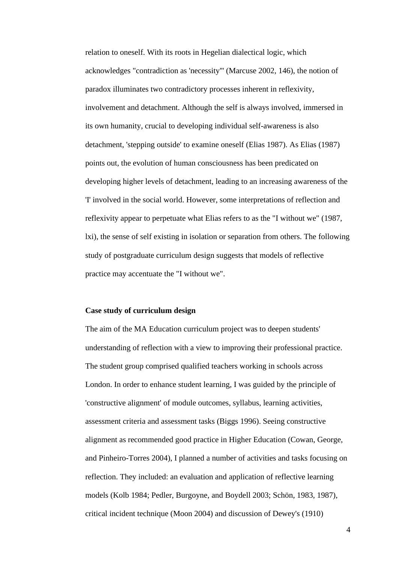relation to oneself. With its roots in Hegelian dialectical logic, which acknowledges "contradiction as 'necessity''' (Marcuse 2002, 146), the notion of paradox illuminates two contradictory processes inherent in reflexivity, involvement and detachment. Although the self is always involved, immersed in its own humanity, crucial to developing individual self-awareness is also detachment, 'stepping outside' to examine oneself (Elias 1987). As Elias (1987) points out, the evolution of human consciousness has been predicated on developing higher levels of detachment, leading to an increasing awareness of the 'I' involved in the social world. However, some interpretations of reflection and reflexivity appear to perpetuate what Elias refers to as the "I without we" (1987, lxi), the sense of self existing in isolation or separation from others. The following study of postgraduate curriculum design suggests that models of reflective practice may accentuate the "I without we".

## **Case study of curriculum design**

The aim of the MA Education curriculum project was to deepen students' understanding of reflection with a view to improving their professional practice. The student group comprised qualified teachers working in schools across London. In order to enhance student learning, I was guided by the principle of 'constructive alignment' of module outcomes, syllabus, learning activities, assessment criteria and assessment tasks (Biggs 1996). Seeing constructive alignment as recommended good practice in Higher Education (Cowan, George, and Pinheiro-Torres 2004), I planned a number of activities and tasks focusing on reflection. They included: an evaluation and application of reflective learning models (Kolb 1984; Pedler, Burgoyne, and Boydell 2003; Schön, 1983, 1987), critical incident technique (Moon 2004) and discussion of Dewey's (1910)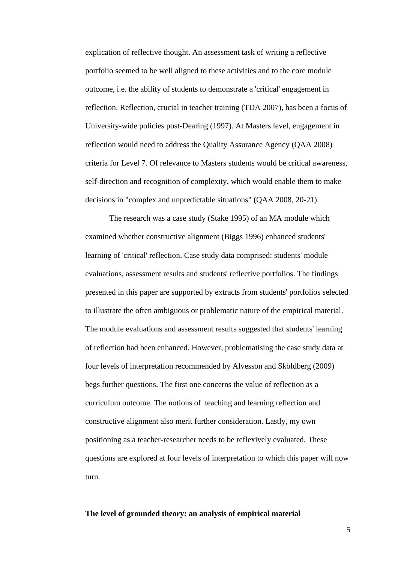explication of reflective thought. An assessment task of writing a reflective portfolio seemed to be well aligned to these activities and to the core module outcome, i.e. the ability of students to demonstrate a 'critical' engagement in reflection. Reflection, crucial in teacher training (TDA 2007), has been a focus of University-wide policies post-Dearing (1997). At Masters level, engagement in reflection would need to address the Quality Assurance Agency (QAA 2008) criteria for Level 7. Of relevance to Masters students would be critical awareness, self-direction and recognition of complexity, which would enable them to make decisions in "complex and unpredictable situations" (QAA 2008, 20-21).

The research was a case study (Stake 1995) of an MA module which examined whether constructive alignment (Biggs 1996) enhanced students' learning of 'critical' reflection. Case study data comprised: students' module evaluations, assessment results and students' reflective portfolios. The findings presented in this paper are supported by extracts from students' portfolios selected to illustrate the often ambiguous or problematic nature of the empirical material. The module evaluations and assessment results suggested that students' learning of reflection had been enhanced. However, problematising the case study data at four levels of interpretation recommended by Alvesson and Sköldberg (2009) begs further questions. The first one concerns the value of reflection as a curriculum outcome. The notions of teaching and learning reflection and constructive alignment also merit further consideration. Lastly, my own positioning as a teacher-researcher needs to be reflexively evaluated. These questions are explored at four levels of interpretation to which this paper will now turn.

## **The level of grounded theory: an analysis of empirical material**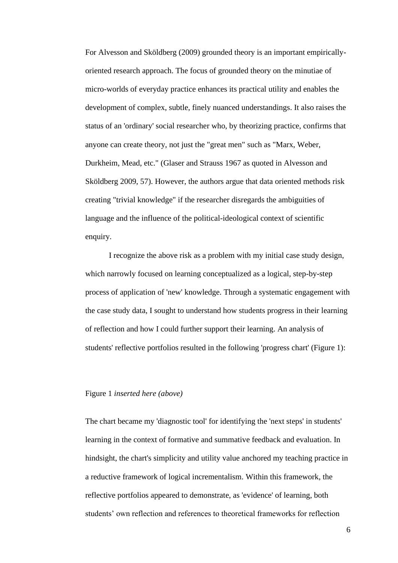For Alvesson and Sköldberg (2009) grounded theory is an important empiricallyoriented research approach. The focus of grounded theory on the minutiae of micro-worlds of everyday practice enhances its practical utility and enables the development of complex, subtle, finely nuanced understandings. It also raises the status of an 'ordinary' social researcher who, by theorizing practice, confirms that anyone can create theory, not just the "great men" such as "Marx, Weber, Durkheim, Mead, etc." (Glaser and Strauss 1967 as quoted in Alvesson and Sköldberg 2009, 57). However, the authors argue that data oriented methods risk creating "trivial knowledge" if the researcher disregards the ambiguities of language and the influence of the political-ideological context of scientific enquiry.

I recognize the above risk as a problem with my initial case study design, which narrowly focused on learning conceptualized as a logical, step-by-step process of application of 'new' knowledge. Through a systematic engagement with the case study data, I sought to understand how students progress in their learning of reflection and how I could further support their learning. An analysis of students' reflective portfolios resulted in the following 'progress chart' (Figure 1):

#### Figure 1 *inserted here (above)*

The chart became my 'diagnostic tool' for identifying the 'next steps' in students' learning in the context of formative and summative feedback and evaluation. In hindsight, the chart's simplicity and utility value anchored my teaching practice in a reductive framework of logical incrementalism. Within this framework, the reflective portfolios appeared to demonstrate, as 'evidence' of learning, both students' own reflection and references to theoretical frameworks for reflection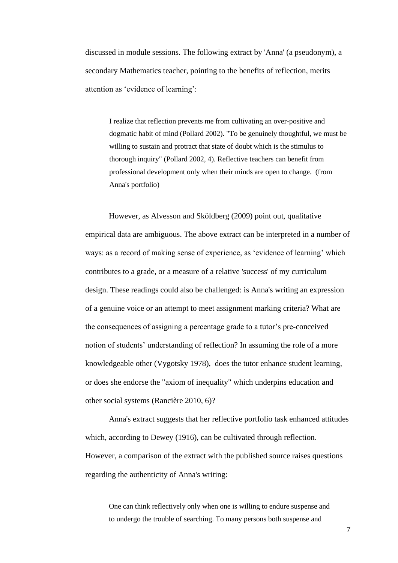discussed in module sessions. The following extract by 'Anna' (a pseudonym), a secondary Mathematics teacher, pointing to the benefits of reflection, merits attention as 'evidence of learning':

I realize that reflection prevents me from cultivating an over-positive and dogmatic habit of mind (Pollard 2002). "To be genuinely thoughtful, we must be willing to sustain and protract that state of doubt which is the stimulus to thorough inquiry" (Pollard 2002, 4). Reflective teachers can benefit from professional development only when their minds are open to change. (from Anna's portfolio)

However, as Alvesson and Sköldberg (2009) point out, qualitative empirical data are ambiguous. The above extract can be interpreted in a number of ways: as a record of making sense of experience, as 'evidence of learning' which contributes to a grade, or a measure of a relative 'success' of my curriculum design. These readings could also be challenged: is Anna's writing an expression of a genuine voice or an attempt to meet assignment marking criteria? What are the consequences of assigning a percentage grade to a tutor's pre-conceived notion of students' understanding of reflection? In assuming the role of a more knowledgeable other (Vygotsky 1978), does the tutor enhance student learning, or does she endorse the "axiom of inequality" which underpins education and other social systems (Rancière 2010, 6)?

Anna's extract suggests that her reflective portfolio task enhanced attitudes which, according to Dewey (1916), can be cultivated through reflection. However, a comparison of the extract with the published source raises questions regarding the authenticity of Anna's writing:

One can think reflectively only when one is willing to endure suspense and to undergo the trouble of searching. To many persons both suspense and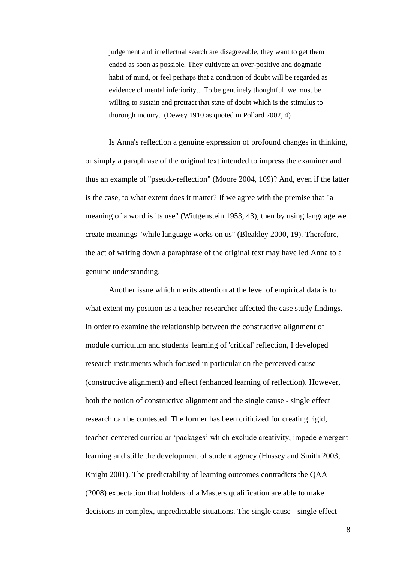judgement and intellectual search are disagreeable; they want to get them ended as soon as possible. They cultivate an over-positive and dogmatic habit of mind, or feel perhaps that a condition of doubt will be regarded as evidence of mental inferiority... To be genuinely thoughtful, we must be willing to sustain and protract that state of doubt which is the stimulus to thorough inquiry. (Dewey 1910 as quoted in Pollard 2002, 4)

Is Anna's reflection a genuine expression of profound changes in thinking, or simply a paraphrase of the original text intended to impress the examiner and thus an example of "pseudo-reflection" (Moore 2004, 109)? And, even if the latter is the case, to what extent does it matter? If we agree with the premise that "a meaning of a word is its use" (Wittgenstein 1953, 43), then by using language we create meanings "while language works on us" (Bleakley 2000, 19). Therefore, the act of writing down a paraphrase of the original text may have led Anna to a genuine understanding.

Another issue which merits attention at the level of empirical data is to what extent my position as a teacher-researcher affected the case study findings. In order to examine the relationship between the constructive alignment of module curriculum and students' learning of 'critical' reflection, I developed research instruments which focused in particular on the perceived cause (constructive alignment) and effect (enhanced learning of reflection). However, both the notion of constructive alignment and the single cause - single effect research can be contested. The former has been criticized for creating rigid, teacher-centered curricular 'packages' which exclude creativity, impede emergent learning and stifle the development of student agency (Hussey and Smith 2003; Knight 2001). The predictability of learning outcomes contradicts the QAA (2008) expectation that holders of a Masters qualification are able to make decisions in complex, unpredictable situations. The single cause - single effect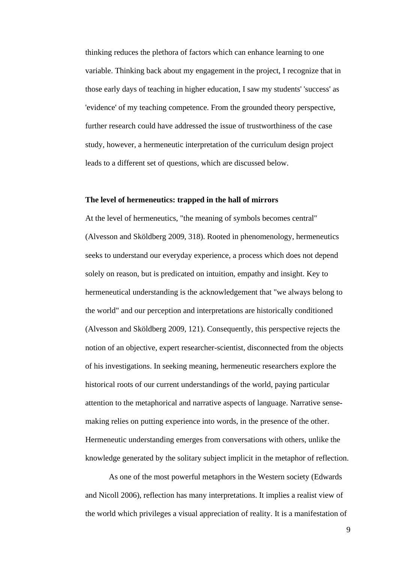thinking reduces the plethora of factors which can enhance learning to one variable. Thinking back about my engagement in the project, I recognize that in those early days of teaching in higher education, I saw my students' 'success' as 'evidence' of my teaching competence. From the grounded theory perspective, further research could have addressed the issue of trustworthiness of the case study, however, a hermeneutic interpretation of the curriculum design project leads to a different set of questions, which are discussed below.

## **The level of hermeneutics: trapped in the hall of mirrors**

At the level of hermeneutics, "the meaning of symbols becomes central" (Alvesson and Sköldberg 2009, 318). Rooted in phenomenology, hermeneutics seeks to understand our everyday experience, a process which does not depend solely on reason, but is predicated on intuition, empathy and insight. Key to hermeneutical understanding is the acknowledgement that "we always belong to the world" and our perception and interpretations are historically conditioned (Alvesson and Sköldberg 2009, 121). Consequently, this perspective rejects the notion of an objective, expert researcher-scientist, disconnected from the objects of his investigations. In seeking meaning, hermeneutic researchers explore the historical roots of our current understandings of the world, paying particular attention to the metaphorical and narrative aspects of language. Narrative sensemaking relies on putting experience into words, in the presence of the other. Hermeneutic understanding emerges from conversations with others, unlike the knowledge generated by the solitary subject implicit in the metaphor of reflection.

As one of the most powerful metaphors in the Western society (Edwards and Nicoll 2006), reflection has many interpretations. It implies a realist view of the world which privileges a visual appreciation of reality. It is a manifestation of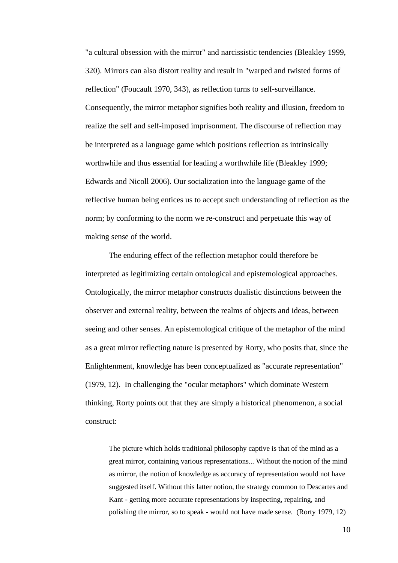"a cultural obsession with the mirror" and narcissistic tendencies (Bleakley 1999, 320). Mirrors can also distort reality and result in "warped and twisted forms of reflection" (Foucault 1970, 343), as reflection turns to self-surveillance. Consequently, the mirror metaphor signifies both reality and illusion, freedom to realize the self and self-imposed imprisonment. The discourse of reflection may be interpreted as a language game which positions reflection as intrinsically worthwhile and thus essential for leading a worthwhile life (Bleakley 1999; Edwards and Nicoll 2006). Our socialization into the language game of the reflective human being entices us to accept such understanding of reflection as the norm; by conforming to the norm we re-construct and perpetuate this way of making sense of the world.

The enduring effect of the reflection metaphor could therefore be interpreted as legitimizing certain ontological and epistemological approaches. Ontologically, the mirror metaphor constructs dualistic distinctions between the observer and external reality, between the realms of objects and ideas, between seeing and other senses. An epistemological critique of the metaphor of the mind as a great mirror reflecting nature is presented by Rorty, who posits that, since the Enlightenment, knowledge has been conceptualized as "accurate representation" (1979, 12). In challenging the "ocular metaphors" which dominate Western thinking, Rorty points out that they are simply a historical phenomenon, a social construct:

The picture which holds traditional philosophy captive is that of the mind as a great mirror, containing various representations... Without the notion of the mind as mirror, the notion of knowledge as accuracy of representation would not have suggested itself. Without this latter notion, the strategy common to Descartes and Kant - getting more accurate representations by inspecting, repairing, and polishing the mirror, so to speak - would not have made sense.(Rorty 1979, 12)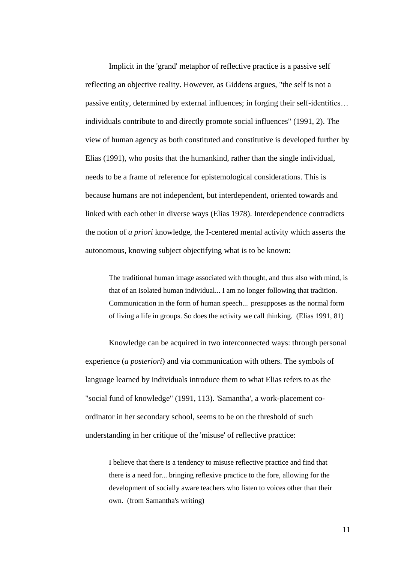Implicit in the 'grand' metaphor of reflective practice is a passive self reflecting an objective reality. However, as Giddens argues, "the self is not a passive entity, determined by external influences; in forging their self-identities… individuals contribute to and directly promote social influences" (1991, 2). The view of human agency as both constituted and constitutive is developed further by Elias (1991), who posits that the humankind, rather than the single individual, needs to be a frame of reference for epistemological considerations. This is because humans are not independent, but interdependent, oriented towards and linked with each other in diverse ways (Elias 1978). Interdependence contradicts the notion of *a priori* knowledge, the I-centered mental activity which asserts the autonomous, knowing subject objectifying what is to be known:

The traditional human image associated with thought, and thus also with mind, is that of an isolated human individual... I am no longer following that tradition. Communication in the form of human speech... presupposes as the normal form of living a life in groups. So does the activity we call thinking.(Elias 1991, 81)

Knowledge can be acquired in two interconnected ways: through personal experience (*a posteriori*) and via communication with others. The symbols of language learned by individuals introduce them to what Elias refers to as the "social fund of knowledge" (1991, 113). 'Samantha', a work-placement coordinator in her secondary school, seems to be on the threshold of such understanding in her critique of the 'misuse' of reflective practice:

I believe that there is a tendency to misuse reflective practice and find that there is a need for... bringing reflexive practice to the fore, allowing for the development of socially aware teachers who listen to voices other than their own.(from Samantha's writing)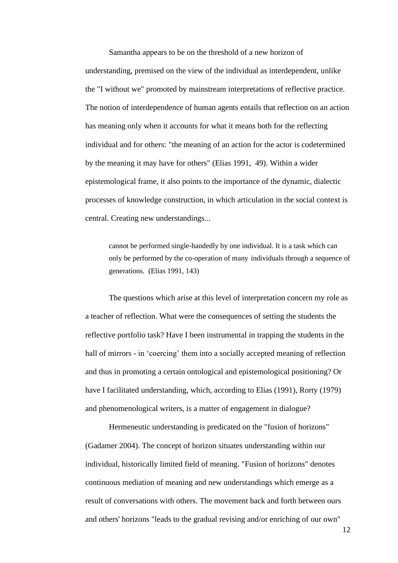Samantha appears to be on the threshold of a new horizon of understanding, premised on the view of the individual as interdependent, unlike the "I without we" promoted by mainstream interpretations of reflective practice. The notion of interdependence of human agents entails that reflection on an action has meaning only when it accounts for what it means both for the reflecting individual and for others: "the meaning of an action for the actor is codetermined by the meaning it may have for others" (Elias 1991, 49). Within a wider epistemological frame, it also points to the importance of the dynamic, dialectic processes of knowledge construction, in which articulation in the social context is central. Creating new understandings...

cannot be performed single-handedly by one individual. It is a task which can only be performed by the co-operation of many individuals through a sequence of generations. (Elias 1991, 143)

The questions which arise at this level of interpretation concern my role as a teacher of reflection. What were the consequences of setting the students the reflective portfolio task? Have I been instrumental in trapping the students in the hall of mirrors - in 'coercing' them into a socially accepted meaning of reflection and thus in promoting a certain ontological and epistemological positioning? Or have I facilitated understanding, which, according to Elias (1991), Rorty (1979) and phenomenological writers, is a matter of engagement in dialogue?

Hermeneutic understanding is predicated on the "fusion of horizons" (Gadamer 2004). The concept of horizon situates understanding within our individual, historically limited field of meaning. "Fusion of horizons" denotes continuous mediation of meaning and new understandings which emerge as a result of conversations with others. The movement back and forth between ours and others' horizons "leads to the gradual revising and/or enriching of our own"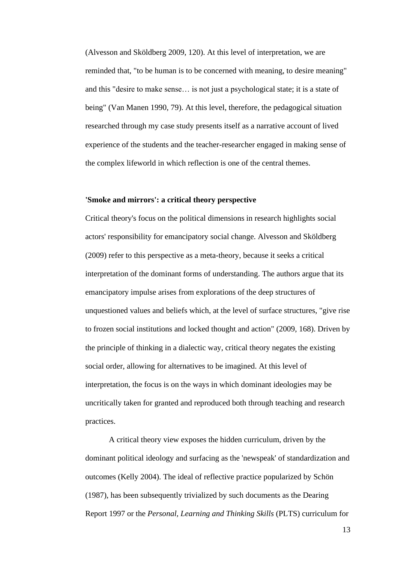(Alvesson and Sköldberg 2009, 120). At this level of interpretation, we are reminded that, "to be human is to be concerned with meaning, to desire meaning" and this "desire to make sense… is not just a psychological state; it is a state of being" (Van Manen 1990, 79). At this level, therefore, the pedagogical situation researched through my case study presents itself as a narrative account of lived experience of the students and the teacher-researcher engaged in making sense of the complex lifeworld in which reflection is one of the central themes.

## **'Smoke and mirrors': a critical theory perspective**

Critical theory's focus on the political dimensions in research highlights social actors' responsibility for emancipatory social change. Alvesson and Sköldberg (2009) refer to this perspective as a meta-theory, because it seeks a critical interpretation of the dominant forms of understanding. The authors argue that its emancipatory impulse arises from explorations of the deep structures of unquestioned values and beliefs which, at the level of surface structures, "give rise to frozen social institutions and locked thought and action" (2009, 168). Driven by the principle of thinking in a dialectic way, critical theory negates the existing social order, allowing for alternatives to be imagined. At this level of interpretation, the focus is on the ways in which dominant ideologies may be uncritically taken for granted and reproduced both through teaching and research practices.

A critical theory view exposes the hidden curriculum, driven by the dominant political ideology and surfacing as the 'newspeak' of standardization and outcomes (Kelly 2004). The ideal of reflective practice popularized by Schön (1987), has been subsequently trivialized by such documents as the Dearing Report 1997 or the *Personal, Learning and Thinking Skills* (PLTS) curriculum for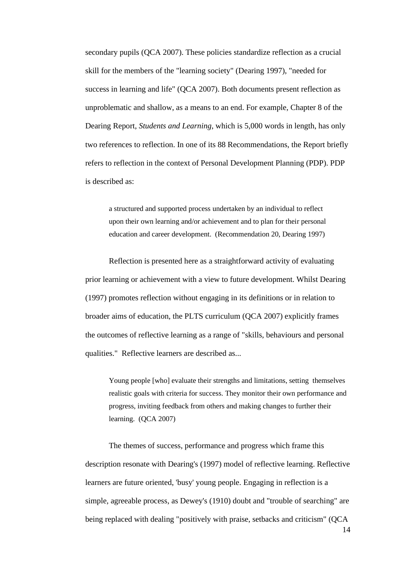secondary pupils (QCA 2007). These policies standardize reflection as a crucial skill for the members of the "learning society" (Dearing 1997), "needed for success in learning and life" (QCA 2007). Both documents present reflection as unproblematic and shallow, as a means to an end. For example, Chapter 8 of the Dearing Report, *Students and Learning*, which is 5,000 words in length, has only two references to reflection. In one of its 88 Recommendations, the Report briefly refers to reflection in the context of Personal Development Planning (PDP). PDP is described as:

a structured and supported process undertaken by an individual to reflect upon their own learning and/or achievement and to plan for their personal education and career development. (Recommendation 20, Dearing 1997)

Reflection is presented here as a straightforward activity of evaluating prior learning or achievement with a view to future development. Whilst Dearing (1997) promotes reflection without engaging in its definitions or in relation to broader aims of education, the PLTS curriculum (QCA 2007) explicitly frames the outcomes of reflective learning as a range of "skills, behaviours and personal qualities." Reflective learners are described as...

Young people [who] evaluate their strengths and limitations, setting themselves realistic goals with criteria for success. They monitor their own performance and progress, inviting feedback from others and making changes to further their learning.(QCA 2007)

The themes of success, performance and progress which frame this description resonate with Dearing's (1997) model of reflective learning. Reflective learners are future oriented, 'busy' young people. Engaging in reflection is a simple, agreeable process, as Dewey's (1910) doubt and "trouble of searching" are being replaced with dealing "positively with praise, setbacks and criticism" (QCA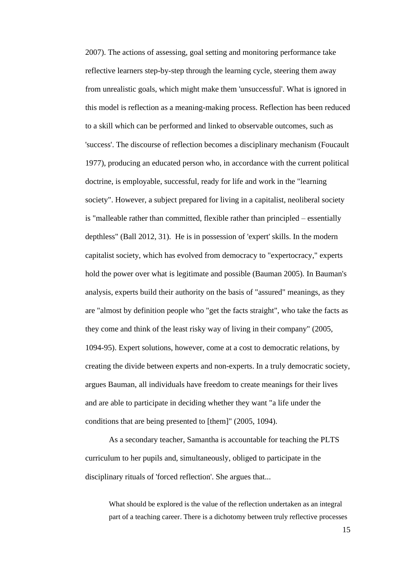2007). The actions of assessing, goal setting and monitoring performance take reflective learners step-by-step through the learning cycle, steering them away from unrealistic goals, which might make them 'unsuccessful'. What is ignored in this model is reflection as a meaning-making process. Reflection has been reduced to a skill which can be performed and linked to observable outcomes, such as 'success'. The discourse of reflection becomes a disciplinary mechanism (Foucault 1977), producing an educated person who, in accordance with the current political doctrine, is employable, successful, ready for life and work in the "learning society". However, a subject prepared for living in a capitalist, neoliberal society is "malleable rather than committed, flexible rather than principled – essentially depthless" (Ball 2012, 31). He is in possession of 'expert' skills. In the modern capitalist society, which has evolved from democracy to "expertocracy," experts hold the power over what is legitimate and possible (Bauman 2005). In Bauman's analysis, experts build their authority on the basis of "assured" meanings, as they are "almost by definition people who "get the facts straight", who take the facts as they come and think of the least risky way of living in their company" (2005, 1094-95). Expert solutions, however, come at a cost to democratic relations, by creating the divide between experts and non-experts. In a truly democratic society, argues Bauman, all individuals have freedom to create meanings for their lives and are able to participate in deciding whether they want "a life under the conditions that are being presented to [them]" (2005, 1094).

As a secondary teacher, Samantha is accountable for teaching the PLTS curriculum to her pupils and, simultaneously, obliged to participate in the disciplinary rituals of 'forced reflection'. She argues that...

What should be explored is the value of the reflection undertaken as an integral part of a teaching career. There is a dichotomy between truly reflective processes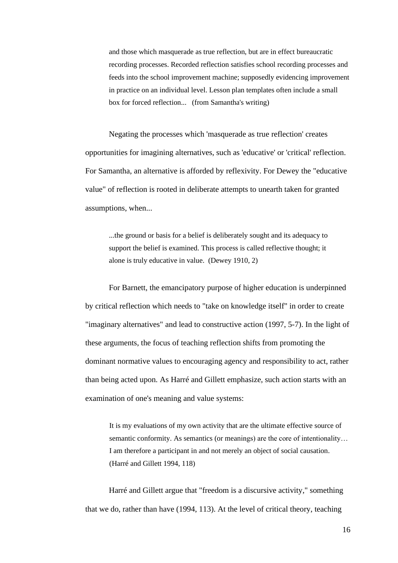and those which masquerade as true reflection, but are in effect bureaucratic recording processes. Recorded reflection satisfies school recording processes and feeds into the school improvement machine; supposedly evidencing improvement in practice on an individual level. Lesson plan templates often include a small box for forced reflection...(from Samantha's writing)

Negating the processes which 'masquerade as true reflection' creates opportunities for imagining alternatives, such as 'educative' or 'critical' reflection. For Samantha, an alternative is afforded by reflexivity. For Dewey the "educative value" of reflection is rooted in deliberate attempts to unearth taken for granted assumptions, when...

...the ground or basis for a belief is deliberately sought and its adequacy to support the belief is examined. This process is called reflective thought; it alone is truly educative in value.(Dewey 1910, 2)

For Barnett, the emancipatory purpose of higher education is underpinned by critical reflection which needs to "take on knowledge itself" in order to create "imaginary alternatives" and lead to constructive action (1997, 5-7). In the light of these arguments, the focus of teaching reflection shifts from promoting the dominant normative values to encouraging agency and responsibility to act, rather than being acted upon. As Harré and Gillett emphasize, such action starts with an examination of one's meaning and value systems:

It is my evaluations of my own activity that are the ultimate effective source of semantic conformity. As semantics (or meanings) are the core of intentionality... I am therefore a participant in and not merely an object of social causation. (Harré and Gillett 1994, 118)

Harré and Gillett argue that "freedom is a discursive activity," something that we do, rather than have (1994, 113). At the level of critical theory, teaching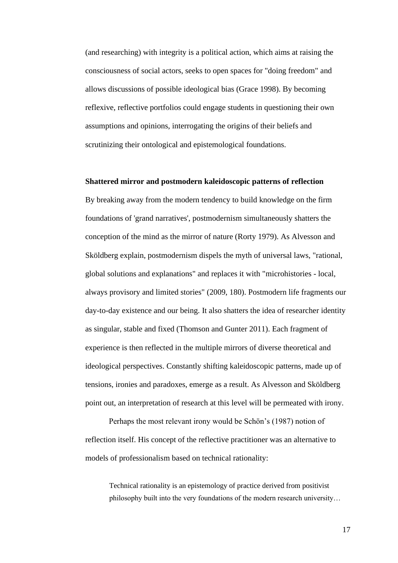(and researching) with integrity is a political action, which aims at raising the consciousness of social actors, seeks to open spaces for "doing freedom" and allows discussions of possible ideological bias (Grace 1998). By becoming reflexive, reflective portfolios could engage students in questioning their own assumptions and opinions, interrogating the origins of their beliefs and scrutinizing their ontological and epistemological foundations.

## **Shattered mirror and postmodern kaleidoscopic patterns of reflection**

By breaking away from the modern tendency to build knowledge on the firm foundations of 'grand narratives', postmodernism simultaneously shatters the conception of the mind as the mirror of nature (Rorty 1979). As Alvesson and Sköldberg explain, postmodernism dispels the myth of universal laws, "rational, global solutions and explanations" and replaces it with "microhistories - local, always provisory and limited stories" (2009, 180). Postmodern life fragments our day-to-day existence and our being. It also shatters the idea of researcher identity as singular, stable and fixed (Thomson and Gunter 2011). Each fragment of experience is then reflected in the multiple mirrors of diverse theoretical and ideological perspectives. Constantly shifting kaleidoscopic patterns, made up of tensions, ironies and paradoxes, emerge as a result. As Alvesson and Sköldberg point out, an interpretation of research at this level will be permeated with irony.

Perhaps the most relevant irony would be Schön's (1987) notion of reflection itself. His concept of the reflective practitioner was an alternative to models of professionalism based on technical rationality:

Technical rationality is an epistemology of practice derived from positivist philosophy built into the very foundations of the modern research university…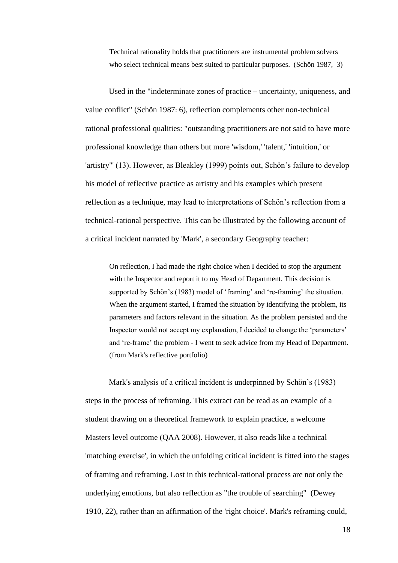Technical rationality holds that practitioners are instrumental problem solvers who select technical means best suited to particular purposes.(Schön 1987, 3)

Used in the "indeterminate zones of practice – uncertainty, uniqueness, and value conflict" (Schön 1987: 6), reflection complements other non-technical rational professional qualities: "outstanding practitioners are not said to have more professional knowledge than others but more 'wisdom,' 'talent,' 'intuition,' or 'artistry''' (13). However, as Bleakley (1999) points out, Schön's failure to develop his model of reflective practice as artistry and his examples which present reflection as a technique, may lead to interpretations of Schön's reflection from a technical-rational perspective. This can be illustrated by the following account of a critical incident narrated by 'Mark', a secondary Geography teacher:

On reflection, I had made the right choice when I decided to stop the argument with the Inspector and report it to my Head of Department. This decision is supported by Schön's (1983) model of 'framing' and 're-framing' the situation. When the argument started, I framed the situation by identifying the problem, its parameters and factors relevant in the situation. As the problem persisted and the Inspector would not accept my explanation, I decided to change the 'parameters' and 're-frame' the problem - I went to seek advice from my Head of Department. (from Mark's reflective portfolio)

Mark's analysis of a critical incident is underpinned by Schön's (1983) steps in the process of reframing. This extract can be read as an example of a student drawing on a theoretical framework to explain practice, a welcome Masters level outcome (QAA 2008). However, it also reads like a technical 'matching exercise', in which the unfolding critical incident is fitted into the stages of framing and reframing. Lost in this technical-rational process are not only the underlying emotions, but also reflection as "the trouble of searching" (Dewey 1910, 22), rather than an affirmation of the 'right choice'. Mark's reframing could,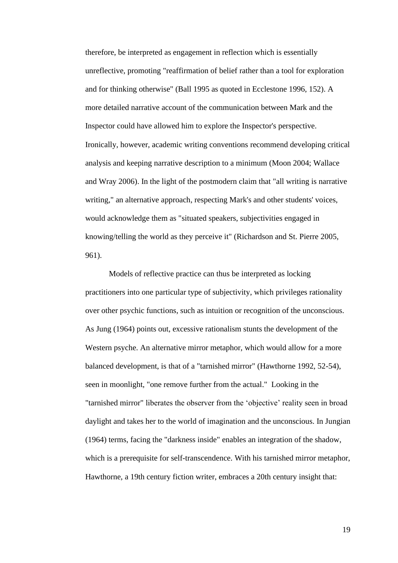therefore, be interpreted as engagement in reflection which is essentially unreflective, promoting "reaffirmation of belief rather than a tool for exploration and for thinking otherwise" (Ball 1995 as quoted in Ecclestone 1996, 152). A more detailed narrative account of the communication between Mark and the Inspector could have allowed him to explore the Inspector's perspective. Ironically, however, academic writing conventions recommend developing critical analysis and keeping narrative description to a minimum (Moon 2004; Wallace and Wray 2006). In the light of the postmodern claim that "all writing is narrative writing," an alternative approach, respecting Mark's and other students' voices, would acknowledge them as "situated speakers, subjectivities engaged in knowing/telling the world as they perceive it" (Richardson and St. Pierre 2005, 961).

Models of reflective practice can thus be interpreted as locking practitioners into one particular type of subjectivity, which privileges rationality over other psychic functions, such as intuition or recognition of the unconscious. As Jung (1964) points out, excessive rationalism stunts the development of the Western psyche. An alternative mirror metaphor, which would allow for a more balanced development, is that of a "tarnished mirror" (Hawthorne 1992, 52-54), seen in moonlight, "one remove further from the actual." Looking in the "tarnished mirror" liberates the observer from the 'objective' reality seen in broad daylight and takes her to the world of imagination and the unconscious. In Jungian (1964) terms, facing the "darkness inside" enables an integration of the shadow, which is a prerequisite for self-transcendence. With his tarnished mirror metaphor, Hawthorne, a 19th century fiction writer, embraces a 20th century insight that: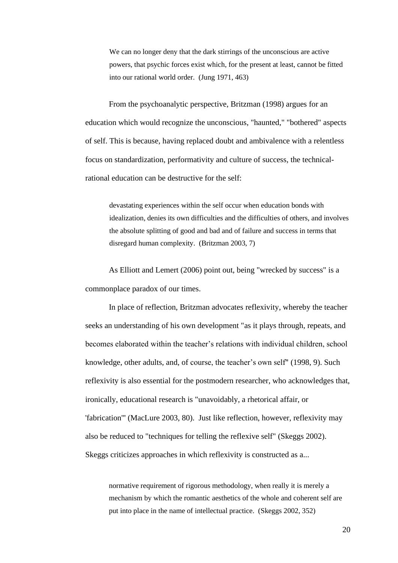We can no longer deny that the dark stirrings of the unconscious are active powers, that psychic forces exist which, for the present at least, cannot be fitted into our rational world order. (Jung 1971, 463)

From the psychoanalytic perspective, Britzman (1998) argues for an education which would recognize the unconscious, "haunted," "bothered" aspects of self. This is because, having replaced doubt and ambivalence with a relentless focus on standardization, performativity and culture of success, the technicalrational education can be destructive for the self:

devastating experiences within the self occur when education bonds with idealization, denies its own difficulties and the difficulties of others, and involves the absolute splitting of good and bad and of failure and success in terms that disregard human complexity. (Britzman 2003, 7)

As Elliott and Lemert (2006) point out, being "wrecked by success" is a commonplace paradox of our times.

In place of reflection, Britzman advocates reflexivity, whereby the teacher seeks an understanding of his own development "as it plays through, repeats, and becomes elaborated within the teacher's relations with individual children, school knowledge, other adults, and, of course, the teacher's own self" (1998, 9). Such reflexivity is also essential for the postmodern researcher, who acknowledges that, ironically, educational research is "unavoidably, a rhetorical affair, or 'fabrication''' (MacLure 2003, 80). Just like reflection, however, reflexivity may also be reduced to "techniques for telling the reflexive self" (Skeggs 2002). Skeggs criticizes approaches in which reflexivity is constructed as a...

normative requirement of rigorous methodology, when really it is merely a mechanism by which the romantic aesthetics of the whole and coherent self are put into place in the name of intellectual practice. (Skeggs 2002, 352)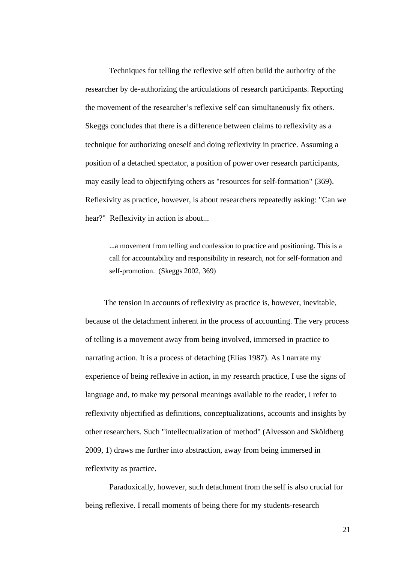Techniques for telling the reflexive self often build the authority of the researcher by de-authorizing the articulations of research participants. Reporting the movement of the researcher's reflexive self can simultaneously fix others. Skeggs concludes that there is a difference between claims to reflexivity as a technique for authorizing oneself and doing reflexivity in practice. Assuming a position of a detached spectator, a position of power over research participants, may easily lead to objectifying others as "resources for self-formation" (369). Reflexivity as practice, however, is about researchers repeatedly asking: "Can we hear?" Reflexivity in action is about...

...a movement from telling and confession to practice and positioning. This is a call for accountability and responsibility in research, not for self-formation and self-promotion. (Skeggs 2002, 369)

The tension in accounts of reflexivity as practice is, however, inevitable, because of the detachment inherent in the process of accounting. The very process of telling is a movement away from being involved, immersed in practice to narrating action. It is a process of detaching (Elias 1987). As I narrate my experience of being reflexive in action, in my research practice, I use the signs of language and, to make my personal meanings available to the reader, I refer to reflexivity objectified as definitions, conceptualizations, accounts and insights by other researchers. Such "intellectualization of method" (Alvesson and Sköldberg 2009, 1) draws me further into abstraction, away from being immersed in reflexivity as practice.

Paradoxically, however, such detachment from the self is also crucial for being reflexive. I recall moments of being there for my students-research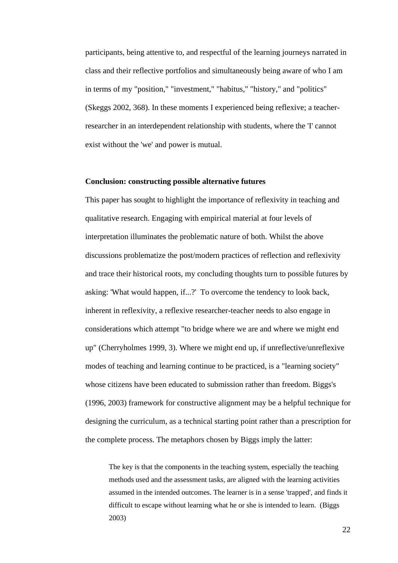participants, being attentive to, and respectful of the learning journeys narrated in class and their reflective portfolios and simultaneously being aware of who I am in terms of my "position," "investment," "habitus," "history," and "politics" (Skeggs 2002, 368). In these moments I experienced being reflexive; a teacherresearcher in an interdependent relationship with students, where the 'I' cannot exist without the 'we' and power is mutual.

## **Conclusion: constructing possible alternative futures**

This paper has sought to highlight the importance of reflexivity in teaching and qualitative research. Engaging with empirical material at four levels of interpretation illuminates the problematic nature of both. Whilst the above discussions problematize the post/modern practices of reflection and reflexivity and trace their historical roots, my concluding thoughts turn to possible futures by asking: 'What would happen, if...?' To overcome the tendency to look back, inherent in reflexivity, a reflexive researcher-teacher needs to also engage in considerations which attempt "to bridge where we are and where we might end up" (Cherryholmes 1999, 3). Where we might end up, if unreflective/unreflexive modes of teaching and learning continue to be practiced, is a "learning society" whose citizens have been educated to submission rather than freedom. Biggs's (1996, 2003) framework for constructive alignment may be a helpful technique for designing the curriculum, as a technical starting point rather than a prescription for the complete process. The metaphors chosen by Biggs imply the latter:

The key is that the components in the teaching system, especially the teaching methods used and the assessment tasks, are aligned with the learning activities assumed in the intended outcomes. The learner is in a sense 'trapped', and finds it difficult to escape without learning what he or she is intended to learn.(Biggs 2003)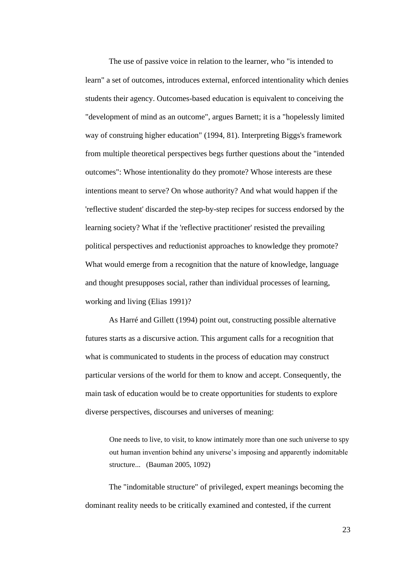The use of passive voice in relation to the learner, who "is intended to learn" a set of outcomes, introduces external, enforced intentionality which denies students their agency. Outcomes-based education is equivalent to conceiving the "development of mind as an outcome", argues Barnett; it is a "hopelessly limited way of construing higher education" (1994, 81). Interpreting Biggs's framework from multiple theoretical perspectives begs further questions about the "intended outcomes": Whose intentionality do they promote? Whose interests are these intentions meant to serve? On whose authority? And what would happen if the 'reflective student' discarded the step-by-step recipes for success endorsed by the learning society? What if the 'reflective practitioner' resisted the prevailing political perspectives and reductionist approaches to knowledge they promote? What would emerge from a recognition that the nature of knowledge, language and thought presupposes social, rather than individual processes of learning, working and living (Elias 1991)?

As Harré and Gillett (1994) point out, constructing possible alternative futures starts as a discursive action. This argument calls for a recognition that what is communicated to students in the process of education may construct particular versions of the world for them to know and accept. Consequently, the main task of education would be to create opportunities for students to explore diverse perspectives, discourses and universes of meaning:

One needs to live, to visit, to know intimately more than one such universe to spy out human invention behind any universe's imposing and apparently indomitable structure...(Bauman 2005, 1092)

The "indomitable structure" of privileged, expert meanings becoming the dominant reality needs to be critically examined and contested, if the current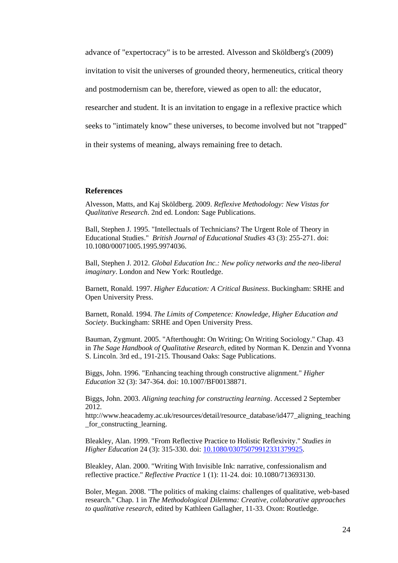advance of "expertocracy" is to be arrested. Alvesson and Sköldberg's (2009) invitation to visit the universes of grounded theory, hermeneutics, critical theory and postmodernism can be, therefore, viewed as open to all: the educator, researcher and student. It is an invitation to engage in a reflexive practice which seeks to "intimately know" these universes, to become involved but not "trapped" in their systems of meaning, always remaining free to detach.

#### **References**

Alvesson, Matts, and Kaj Sköldberg. 2009. *Reflexive Methodology: New Vistas for Qualitative Research*. 2nd ed. London: Sage Publications.

Ball, Stephen J. 1995. "Intellectuals of Technicians? The Urgent Role of Theory in Educational Studies." *British Journal of Educational Studies* 43 (3): 255-271. doi: 10.1080/00071005.1995.9974036.

Ball, Stephen J. 2012. *Global Education Inc.: New policy networks and the neo-liberal imaginary*. London and New York: Routledge.

Barnett, Ronald. 1997. *Higher Education: A Critical Business*. Buckingham: SRHE and Open University Press.

Barnett, Ronald. 1994. *The Limits of Competence: Knowledge, Higher Education and Society*. Buckingham: SRHE and Open University Press.

Bauman, Zygmunt. 2005. "Afterthought: On Writing; On Writing Sociology." Chap. 43 in *The Sage Handbook of Qualitative Research,* edited by Norman K. Denzin and Yvonna S. Lincoln. 3rd ed., 191-215. Thousand Oaks: Sage Publications.

Biggs, John. 1996. "Enhancing teaching through constructive alignment." *Higher Education* 32 (3): 347-364. doi: 10.1007/BF00138871.

Biggs, John. 2003. *Aligning teaching for constructing learning*. Accessed 2 September 2012.

http://www.heacademy.ac.uk/resources/detail/resource\_database/id477\_aligning\_teaching \_for\_constructing\_learning.

Bleakley, Alan. 1999. "From Reflective Practice to Holistic Reflexivity." *Studies in Higher Education* 24 (3): 315-330. doi: [10.1080/03075079912331379925.](http://dx.doi.org/10.1080/03075079912331379925)

Bleakley, Alan. 2000. "Writing With Invisible Ink: narrative, confessionalism and reflective practice." *Reflective Practice* 1 (1): 11-24. doi: 10.1080/713693130.

Boler, Megan. 2008. "The politics of making claims: challenges of qualitative, web-based research." Chap. 1 in *The Methodological Dilemma: Creative, collaborative approaches to qualitative research*, edited by Kathleen Gallagher, 11-33. Oxon: Routledge.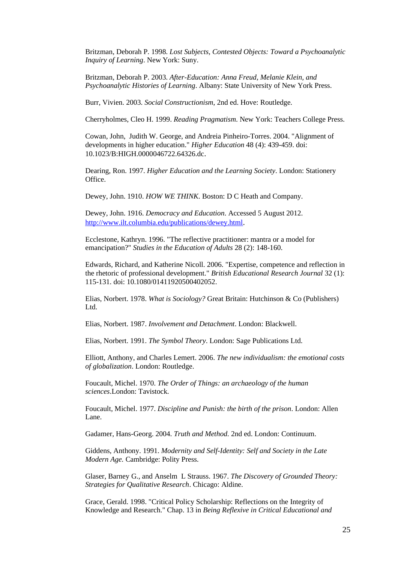Britzman, Deborah P. 1998. *Lost Subjects, Contested Objects: Toward a Psychoanalytic Inquiry of Learning*. New York: Suny.

Britzman, Deborah P. 2003. *After-Education: Anna Freud, Melanie Klein, and Psychoanalytic Histories of Learning*. Albany: State University of New York Press.

Burr, Vivien. 2003. *Social Constructionism*, 2nd ed. Hove: Routledge.

Cherryholmes, Cleo H. 1999. *Reading Pragmatism*. New York: Teachers College Press.

Cowan, John, Judith W. George, and Andreia Pinheiro-Torres. 2004. "Alignment of developments in higher education." *Higher Education* 48 (4): 439-459. doi: 10.1023/B:HIGH.0000046722.64326.dc.

Dearing, Ron. 1997. *Higher Education and the Learning Society*. London: Stationery Office.

Dewey, John. 1910. *HOW WE THINK*. Boston: D C Heath and Company.

Dewey, John. 1916. *Democracy and Education*. Accessed 5 August 2012. <http://www.ilt.columbia.edu/publications/dewey.html>.

Ecclestone, Kathryn. 1996. "The reflective practitioner: mantra or a model for emancipation?" *Studies in the Education of Adults* 28 (2): 148-160.

Edwards, Richard, and Katherine Nicoll. 2006. "Expertise, competence and reflection in the rhetoric of professional development." *British Educational Research Journal* 32 (1): 115-131. doi: 10.1080/01411920500402052.

Elias, Norbert. 1978. *What is Sociology?* Great Britain: Hutchinson & Co (Publishers) Ltd.

Elias, Norbert. 1987. *Involvement and Detachment*. London: Blackwell.

Elias, Norbert. 1991. *The Symbol Theory*. London: Sage Publications Ltd.

Elliott, Anthony, and Charles Lemert. 2006. *The new individualism: the emotional costs of globalization*. London: Routledge.

Foucault, Michel. 1970. *The Order of Things: an archaeology of the human sciences*.London: Tavistock.

Foucault, Michel. 1977. *Discipline and Punish: the birth of the prison*. London: Allen Lane.

Gadamer, Hans-Georg. 2004. *Truth and Method.* 2nd ed. London: Continuum.

Giddens, Anthony. 1991. *Modernity and Self-Identity: Self and Society in the Late Modern Age.* Cambridge: Polity Press.

Glaser, Barney G., and Anselm L Strauss. 1967. *The Discovery of Grounded Theory: Strategies for Qualitative Research*. Chicago: Aldine.

Grace, Gerald. 1998. "Critical Policy Scholarship: Reflections on the Integrity of Knowledge and Research." Chap. 13 in *Being Reflexive in Critical Educational and*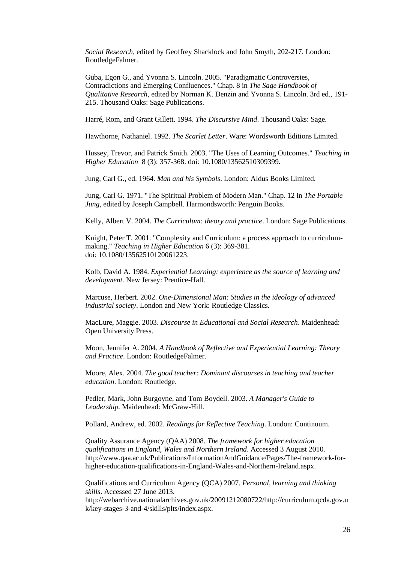*Social Research,* edited by Geoffrey Shacklock and John Smyth, 202-217. London: RoutledgeFalmer.

Guba, Egon G., and Yvonna S. Lincoln. 2005. "Paradigmatic Controversies, Contradictions and Emerging Confluences." Chap. 8 in *The Sage Handbook of Qualitative Research*, edited by Norman K. Denzin and Yvonna S. Lincoln. 3rd ed., 191- 215. Thousand Oaks: Sage Publications.

Harré, Rom, and Grant Gillett. 1994. *The Discursive Mind*. Thousand Oaks: Sage.

Hawthorne, Nathaniel. 1992. *The Scarlet Letter*. Ware: Wordsworth Editions Limited.

Hussey, Trevor, and Patrick Smith. 2003. "The Uses of Learning Outcomes." *Teaching in Higher Education* 8 (3): 357-368. doi: 10.1080/13562510309399.

Jung, Carl G., ed. 1964. *Man and his Symbols*. London: Aldus Books Limited.

Jung, Carl G. 1971. "The Spiritual Problem of Modern Man." Chap. 12 in *The Portable Jung*, edited by Joseph Campbell. Harmondsworth: Penguin Books.

Kelly, Albert V. 2004. *The Curriculum: theory and practice*. London: Sage Publications.

Knight, Peter T. 2001. "Complexity and Curriculum: a process approach to curriculummaking." *Teaching in Higher Education* 6 (3): 369-381. doi: 10.1080/13562510120061223.

Kolb, David A. 1984. *Experiential Learning: experience as the source of learning and development.* New Jersey: Prentice-Hall.

Marcuse, Herbert. 2002. *One-Dimensional Man: Studies in the ideology of advanced industrial society*. London and New York: Routledge Classics.

MacLure, Maggie. 2003. *Discourse in Educational and Social Research*. Maidenhead: Open University Press.

Moon, Jennifer A. 2004. *A Handbook of Reflective and Experiential Learning: Theory and Practice*. London: RoutledgeFalmer.

Moore, Alex. 2004. *The good teacher: Dominant discourses in teaching and teacher education*. London: Routledge.

Pedler, Mark, John Burgoyne, and Tom Boydell. 2003. *A Manager's Guide to Leadership.* Maidenhead: McGraw-Hill.

Pollard, Andrew, ed. 2002. *Readings for Reflective Teaching*. London: Continuum.

Quality Assurance Agency (QAA) 2008. *The framework for higher education qualifications in England, Wales and Northern Ireland*. Accessed 3 August 2010. http://www.qaa.ac.uk/Publications/InformationAndGuidance/Pages/The-framework-forhigher-education-qualifications-in-England-Wales-and-Northern-Ireland.aspx.

Qualifications and Curriculum Agency (QCA) 2007. *Personal, learning and thinking skills*. Accessed 27 June 2013. http://webarchive.nationalarchives.gov.uk/20091212080722/http://curriculum.qcda.gov.u k/key-stages-3-and-4/skills/plts/index.aspx.